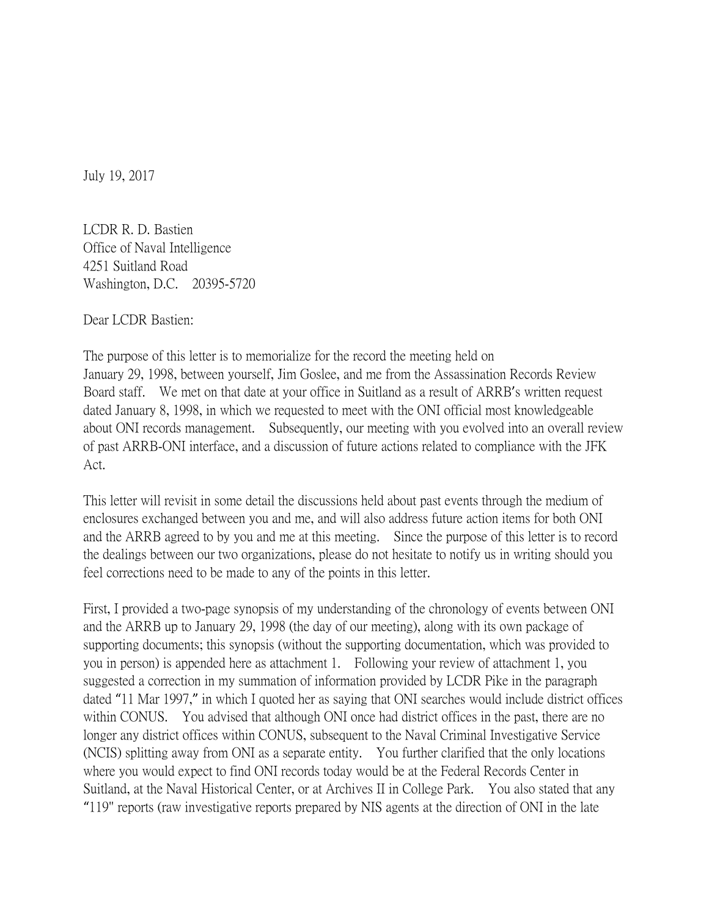July 19, 2017

LCDR R. D. Bastien Office of Naval Intelligence 4251 Suitland Road Washington, D.C. 20395-5720

Dear LCDR Bastien:

The purpose of this letter is to memorialize for the record the meeting held on January 29, 1998, between yourself, Jim Goslee, and me from the Assassination Records Review Board staff. We met on that date at your office in Suitland as a result of ARRB's written request dated January 8, 1998, in which we requested to meet with the ONI official most knowledgeable about ONI records management. Subsequently, our meeting with you evolved into an overall review of past ARRB-ONI interface, and a discussion of future actions related to compliance with the JFK Act.

This letter will revisit in some detail the discussions held about past events through the medium of enclosures exchanged between you and me, and will also address future action items for both ONI and the ARRB agreed to by you and me at this meeting. Since the purpose of this letter is to record the dealings between our two organizations, please do not hesitate to notify us in writing should you feel corrections need to be made to any of the points in this letter.

First, I provided a two-page synopsis of my understanding of the chronology of events between ONI and the ARRB up to January 29, 1998 (the day of our meeting), along with its own package of supporting documents; this synopsis (without the supporting documentation, which was provided to you in person) is appended here as attachment 1. Following your review of attachment 1, you suggested a correction in my summation of information provided by LCDR Pike in the paragraph dated "11 Mar 1997," in which I quoted her as saying that ONI searches would include district offices within CONUS. You advised that although ONI once had district offices in the past, there are no longer any district offices within CONUS, subsequent to the Naval Criminal Investigative Service (NCIS) splitting away from ONI as a separate entity. You further clarified that the only locations where you would expect to find ONI records today would be at the Federal Records Center in Suitland, at the Naval Historical Center, or at Archives II in College Park. You also stated that any "119" reports (raw investigative reports prepared by NIS agents at the direction of ONI in the late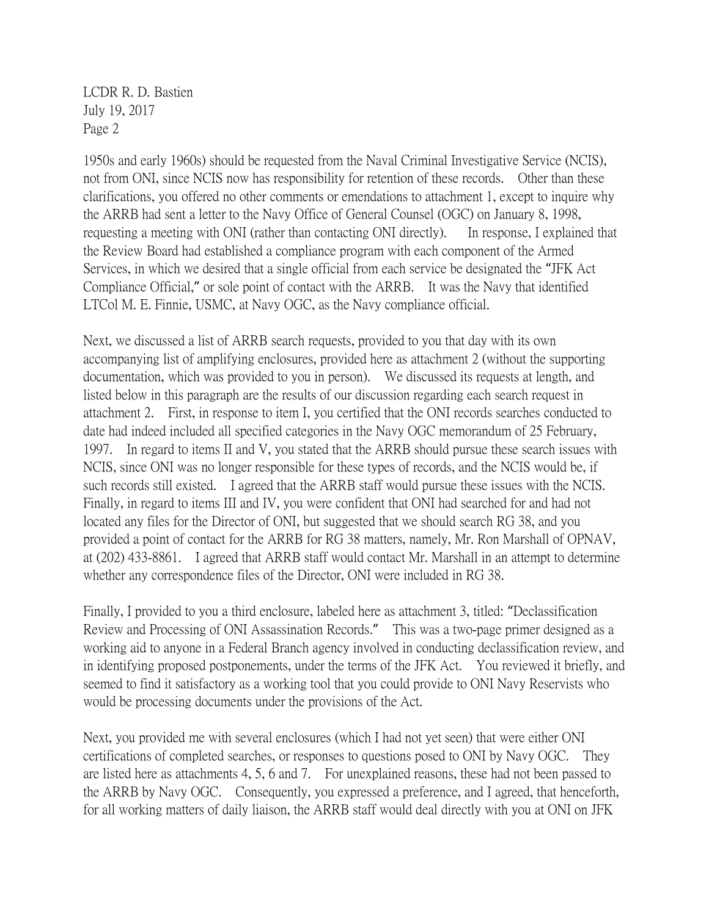1950s and early 1960s) should be requested from the Naval Criminal Investigative Service (NCIS), not from ONI, since NCIS now has responsibility for retention of these records. Other than these clarifications, you offered no other comments or emendations to attachment 1, except to inquire why the ARRB had sent a letter to the Navy Office of General Counsel (OGC) on January 8, 1998, requesting a meeting with ONI (rather than contacting ONI directly). In response, I explained that the Review Board had established a compliance program with each component of the Armed Services, in which we desired that a single official from each service be designated the "JFK Act Compliance Official," or sole point of contact with the ARRB. It was the Navy that identified LTCol M. E. Finnie, USMC, at Navy OGC, as the Navy compliance official.

Next, we discussed a list of ARRB search requests, provided to you that day with its own accompanying list of amplifying enclosures, provided here as attachment 2 (without the supporting documentation, which was provided to you in person). We discussed its requests at length, and listed below in this paragraph are the results of our discussion regarding each search request in attachment 2. First, in response to item I, you certified that the ONI records searches conducted to date had indeed included all specified categories in the Navy OGC memorandum of 25 February, 1997. In regard to items II and V, you stated that the ARRB should pursue these search issues with NCIS, since ONI was no longer responsible for these types of records, and the NCIS would be, if such records still existed. I agreed that the ARRB staff would pursue these issues with the NCIS. Finally, in regard to items III and IV, you were confident that ONI had searched for and had not located any files for the Director of ONI, but suggested that we should search RG 38, and you provided a point of contact for the ARRB for RG 38 matters, namely, Mr. Ron Marshall of OPNAV, at (202) 433-8861. I agreed that ARRB staff would contact Mr. Marshall in an attempt to determine whether any correspondence files of the Director, ONI were included in RG 38.

Finally, I provided to you a third enclosure, labeled here as attachment 3, titled: "Declassification Review and Processing of ONI Assassination Records." This was a two-page primer designed as a working aid to anyone in a Federal Branch agency involved in conducting declassification review, and in identifying proposed postponements, under the terms of the JFK Act. You reviewed it briefly, and seemed to find it satisfactory as a working tool that you could provide to ONI Navy Reservists who would be processing documents under the provisions of the Act.

Next, you provided me with several enclosures (which I had not yet seen) that were either ONI certifications of completed searches, or responses to questions posed to ONI by Navy OGC. They are listed here as attachments 4, 5, 6 and 7. For unexplained reasons, these had not been passed to the ARRB by Navy OGC. Consequently, you expressed a preference, and I agreed, that henceforth, for all working matters of daily liaison, the ARRB staff would deal directly with you at ONI on JFK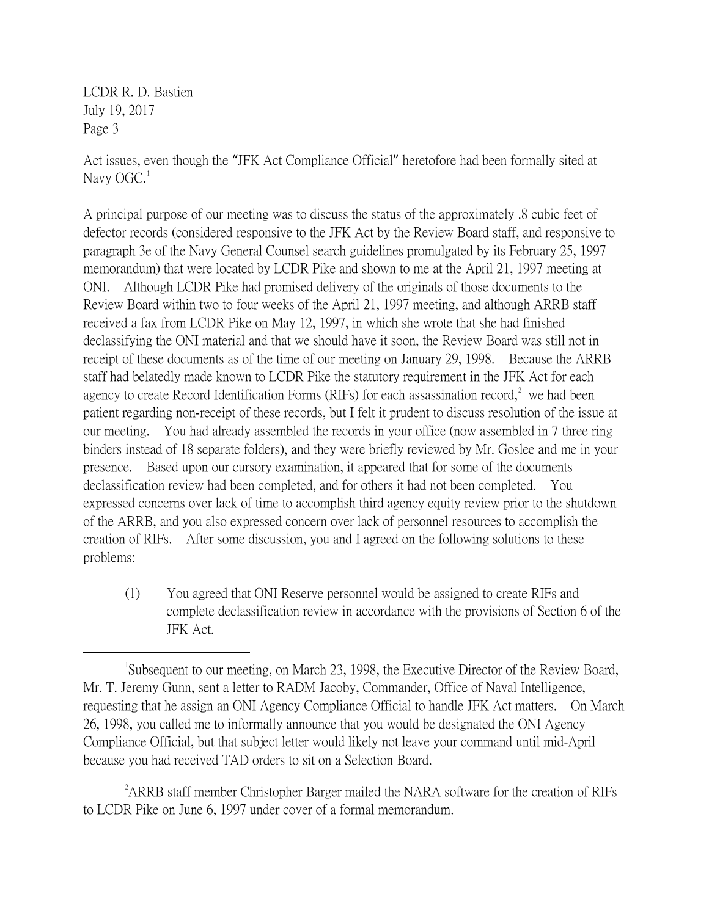Act issues, even though the "JFK Act Compliance Official" heretofore had been formally sited at Navy  $OGC<sup>1</sup>$  $OGC<sup>1</sup>$  $OGC<sup>1</sup>$ 

A principal purpose of our meeting was to discuss the status of the approximately .8 cubic feet of defector records (considered responsive to the JFK Act by the Review Board staff, and responsive to paragraph 3e of the Navy General Counsel search guidelines promulgated by its February 25, 1997 memorandum) that were located by LCDR Pike and shown to me at the April 21, 1997 meeting at ONI. Although LCDR Pike had promised delivery of the originals of those documents to the Review Board within two to four weeks of the April 21, 1997 meeting, and although ARRB staff received a fax from LCDR Pike on May 12, 1997, in which she wrote that she had finished declassifying the ONI material and that we should have it soon, the Review Board was still not in receipt of these documents as of the time of our meeting on January 29, 1998. Because the ARRB staff had belatedly made known to LCDR Pike the statutory requirement in the JFK Act for each agency to create Record Identification Forms (RIFs) for each assassination record,<sup>[2](#page-2-1)</sup> we had been patient regarding non-receipt of these records, but I felt it prudent to discuss resolution of the issue at our meeting. You had already assembled the records in your office (now assembled in 7 three ring binders instead of 18 separate folders), and they were briefly reviewed by Mr. Goslee and me in your presence. Based upon our cursory examination, it appeared that for some of the documents declassification review had been completed, and for others it had not been completed. You expressed concerns over lack of time to accomplish third agency equity review prior to the shutdown of the ARRB, and you also expressed concern over lack of personnel resources to accomplish the creation of RIFs. After some discussion, you and I agreed on the following solutions to these problems:

(1) You agreed that ONI Reserve personnel would be assigned to create RIFs and complete declassification review in accordance with the provisions of Section 6 of the JFK Act.

<span id="page-2-1"></span><sup>2</sup> ARRB staff member Christopher Barger mailed the NARA software for the creation of RIFs to LCDR Pike on June 6, 1997 under cover of a formal memorandum.

<span id="page-2-0"></span> $\overline{\phantom{a}}$ Subsequent to our meeting, on March 23, 1998, the Executive Director of the Review Board, Mr. T. Jeremy Gunn, sent a letter to RADM Jacoby, Commander, Office of Naval Intelligence, requesting that he assign an ONI Agency Compliance Official to handle JFK Act matters. On March 26, 1998, you called me to informally announce that you would be designated the ONI Agency Compliance Official, but that subject letter would likely not leave your command until mid-April because you had received TAD orders to sit on a Selection Board.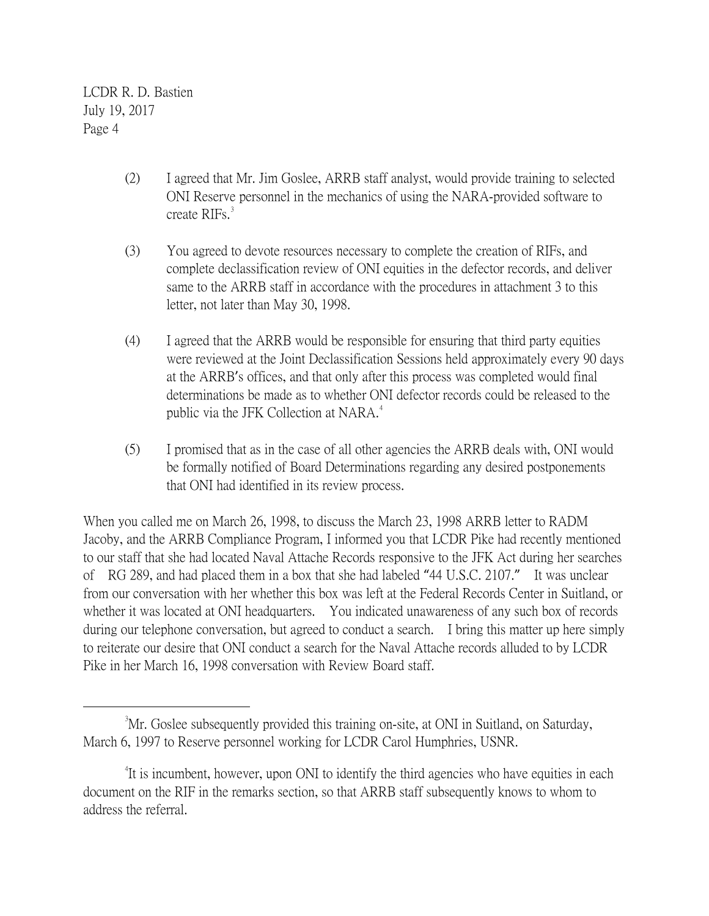- (2) I agreed that Mr. Jim Goslee, ARRB staff analyst, would provide training to selected ONI Reserve personnel in the mechanics of using the NARA-provided software to create RIFs.<sup>[3](#page-3-0)</sup>
- (3) You agreed to devote resources necessary to complete the creation of RIFs, and complete declassification review of ONI equities in the defector records, and deliver same to the ARRB staff in accordance with the procedures in attachment 3 to this letter, not later than May 30, 1998.
- (4) I agreed that the ARRB would be responsible for ensuring that third party equities were reviewed at the Joint Declassification Sessions held approximately every 90 days at the ARRB's offices, and that only after this process was completed would final determinations be made as to whether ONI defector records could be released to the public via the JFK Collection at NARA.<sup>[4](#page-3-1)</sup>
- (5) I promised that as in the case of all other agencies the ARRB deals with, ONI would be formally notified of Board Determinations regarding any desired postponements that ONI had identified in its review process.

When you called me on March 26, 1998, to discuss the March 23, 1998 ARRB letter to RADM Jacoby, and the ARRB Compliance Program, I informed you that LCDR Pike had recently mentioned to our staff that she had located Naval Attache Records responsive to the JFK Act during her searches of RG 289, and had placed them in a box that she had labeled "44 U.S.C. 2107." It was unclear from our conversation with her whether this box was left at the Federal Records Center in Suitland, or whether it was located at ONI headquarters. You indicated unawareness of any such box of records during our telephone conversation, but agreed to conduct a search. I bring this matter up here simply to reiterate our desire that ONI conduct a search for the Naval Attache records alluded to by LCDR Pike in her March 16, 1998 conversation with Review Board staff.

<span id="page-3-0"></span> $\frac{1}{3}$ <sup>3</sup>Mr. Goslee subsequently provided this training on-site, at ONI in Suitland, on Saturday, March 6, 1997 to Reserve personnel working for LCDR Carol Humphries, USNR.

<span id="page-3-1"></span><sup>&</sup>lt;sup>4</sup>It is incumbent, however, upon ONI to identify the third agencies who have equities in each document on the RIF in the remarks section, so that ARRB staff subsequently knows to whom to address the referral.